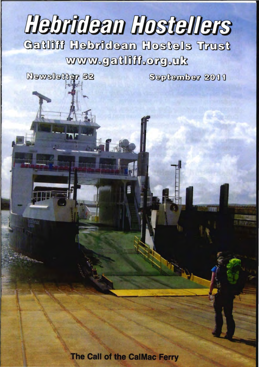# **Hebridean Hostellers**

@Gl~onoo [}Q@)~.:>G~ncf]@)GlCii) [}Q®~~@)o~ lJI:?Qn~~ www.gatliff.org.uk

September 2011

Newsletter 52

The Call of the CalMac Ferry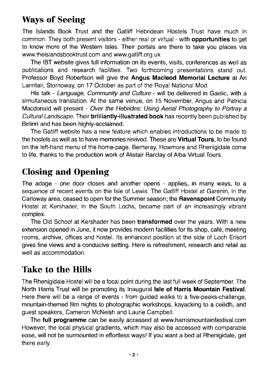# Ways of Seeing

The Islands Book Trust and the Gatliff Hebridean Hostels Trust have much in common. They both present visitors - either real or virtual - with opportunities to get to know more of the Western Isles. Their portals are there to take you places via www.theislandsbooktrust.com and www.gatliff.org.uk

The IBT website gives full information on its events, visits, conferences as well as publications and research facilities. Two forthcoming presentations stand out. Professor Boyd Robertson will give the Angus Macleod Memorial Lecture at An Lanntair, Stornoway, on 17 October as part of the Royal National Mod.

His talk - Language, Community and Culture - will be delivered in Gaelic, with a simultaneous translation. At the same venue, on 15 November, Angus and Patricia Macdonald will present - Over the Hebrides: Using Aerial Photography to Portray a Cultural Landscape. Their brilliantly-illustrated book has recently been published by Birlinn and has been highly-acclaimed.

The Gatliff website has a new feature which enables introductions to be made to the hostels as well as to have memories revived. These are **Virtual Tours**, to be found on the left-hand menu of the home-page. Bemeray, Howmore and Rhenigidale come to life, thanks to the production work of Alistair Barclay of Alba Virtual Tours.

# Closing and Opening

The adage - one door closes and another opens - applies, in many ways, to a sequence of recent events on the Isle of Lewis. The Gatliff Hostel at Garenin, in the Carloway area, ceased to open for the Summer season; the Ravenspoint Community Hostel at Kershader, in the South Lochs, became part of an increasingly vibrant complex.

The Old School at Kershader has been **transformed** over the years. With a new extension opened in June, it now provides modern facilities for its shop, cafe, meeting rooms, archive, offices and hostel. Its enhanced position at the side of Loch Erisort gives fine views and a conducive setting. Here is refreshment, research and retail as well as accommodation.

# Take to the Hills

The Rhenigidale Hostel will be a focal point during the last full week of September. The North Harris Trust will be promoting its Inaugural Isle of Harris Mountain Festival. Here there will be a range of events - from guided walks to a five-peaks-challenge, mountain-themed film nights to photographic workshops, kayacking to a ceilidh, and guest speakers, Cameron McNeish and Laurie Campbell.

The full programme can be easily accessed at www.harrismountainfestival.com However, the local physical gradients, which may also be accessed with comparable ease, will not be surmounted in effortless ways! If you want a bed at Rhenigidale, get there early.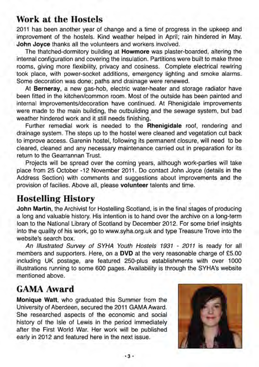## Work at the Hostels

2011 has been another year of change and a time of progress in the upkeep and improvement of the hostels. Kind weather helped in April; rain hindered in May. John Joyce thanks all the volunteers and workers involved.

The thatched-dormitory building at Howmore was plaster-boarded, altering the internal configuration and covering the insulation. Partitions were built to make three rooms, giving more flexibility, privacy and cosiness. Complete electrical rewiring took place, with power-socket additions, emergency lighting and smoke alarms. Some decoration was done; paths and drainage were renewed.

At Berneray, a new gas-hob, electric water-heater and storage radiator have been fitted in the kitchen/common room. Most of the outside has been painted and internal improvements/decoration have continued. At Rhenigidale improvements were made to the main building, the outbuilding and the sewage system, but bad weather hindered work and it still needs finishing.

Further remedial work is needed to the Rhenigidale roof, rendering and drainage system. The steps up to the hostel were cleaned and vegetation cut back to improve access. Garenin hostel, following its permanent closure, will need to be cleared, cleaned and any necessary maintenance carried out in preparation for its return to the Gearrannan Trust.

Projects will be spread over the coming years, although work-parties will take place from 25 October -12 November 2011 . Do contact John Joyce (details in the Address Section) with comments and suggestions about improvements and the provision of facilies. Above all, please volunteer talents and time.

# Hostelling History

John Martin, the Archivist for Hostelling Scotland, is in the final stages of producing a long and valuable history. His intention is to hand over the archive on a long-term loan to the National Library of Scotland by December 2012. For some brief insights into the quality of his work, go to www.syha.org.uk and type Treasure Trove into the website's search box.

An Illustrated Survey of SYHA Youth Hostels 1931 - 2011 is ready for all members and supporters. Here, on a DVD at the very reasonable charge of £5.00 including UK postage, are featured 250-plus establishments with over 1000 illustrations running to some 600 pages. Availability is through the SYHA's website mentioned above.

## **GAMA** Award

Monique Watt, who graduated this Summer from the University of Aberdeen, secured the 2011 GAMA Award. She researched aspects of the economic and social history of the Isle of Lewis in the period immediately after the First World War. Her work will be published early in 2012 and featured here in the next issue.

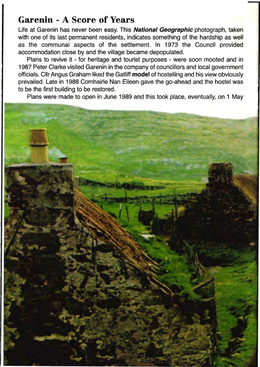## **Garenin - A Score of Years**

Life at Garenin has never been easy. This **National Geographic** photograph, taken with one of its last permanent residents, indicates something of the hardship as well as the communal aspects of the settlement. In 1973 the Council provided accommodation close by and the village became depopulated.

Plans to revive it - for heritage and tourist purposes - were soon mooted and in 1987 Peter Clarke visited Garenin in the company of councillors and local government officials. Cllr Angus Graham liked the Gatliff **model** of hostelling and his view obviously prevailed. Late in 1988 Comhairle Nan Eileen gave the go-ahead and the hostel was to be the first building to be restored.

Plans were made to open in June 1989 and this took place, eventually, on 1 May

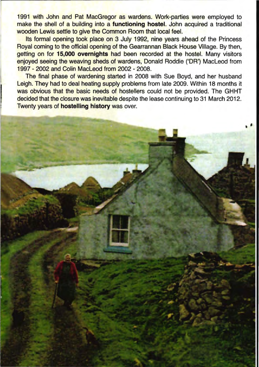1991 with John and Pat MacGregor as wardens. Work-parties were employed to make the shell of a building into a functioning hostel. John acquired a traditional wooden Lewis settle to give the Common Room that local feel.

Its formal opening took place on 3 July 1992, nine years ahead of the Princess Royal coming to the official opening of the Gearrannan Black House Village. By then, getting on for 15,000 overnights had been recorded at the hostel. Many visitors enjoyed seeing the weaving sheds of wardens, Donald Roddie ('OR') MacLeod from 1997 - 2002 and Colin MacLeod from 2002 - 2008.

The final phase of wardening started in 2008 with Sue Boyd, and her husband Leigh. They had to deal heating supply problems from late 2009. Within 18 months it was obvious that the basic needs of hostellers could not be provided. The GHHT decided that the closure was inevitable despite the lease continuing to 31 March 2012. Twenty years of hostelling history was over.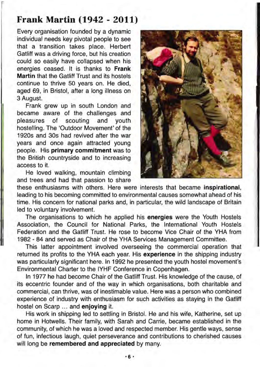#### **Frank Martin (1942 - 2011)**

Every organisation founded by a dynamic individual needs key pivotal people to see that a transition takes place. Herbert Gatliff was a driving force, but his creation could so easily have collapsed when his energies ceased. It is thanks to **Frank Martin** that the Gatliff Trust and its hostels continue to thrive 50 years on. He died, aged 69, in Bristol, after a long illness on 3 August.

Frank grew up in south London and became aware of the challenges and pleasures of scouting and youth hostelling. The 'Outdoor Movement' of the 1920s and 30s had revived after the war years and once again attracted young people. His **primary commitment** was to the British countryside and to increasing access to it.

He loved walking, mountain climbing and trees and had that passion to share



these enthusiasms with others. Here were interests that became **inspirational,**  leading to his becoming committed to environmental causes somewhat ahead of his time. His concern for national parks and, in particular, the wild landscape of Britain led to voluntary involvement.

The organisations to which he applied his **energies** were the Youth Hostels Association, the Council for National Parks, the International Youth Hostels Federation and the Gatliff Trust. He rose to become Vice Chair of the YHA from 1982 - 84 and served as Chair of the YHA Services Management Committee.

This latter appointment involved overseeing the commercial operation that returned its profits to the YHA each year. His **experience** in the shipping industry was particularly significant here. **In** 1992 he presented the youth hostel movement's Environmental Charter to the IYHF Conference in Copenhagen.

In 1977 he had become Chair of the Gatliff Trust. His knowledge of the cause, of its eccentric founder and of the way in which organisations, both charitable and commercial, can thrive, was of inestimable value. Here was a person who combined experience of industry with enthusiasm for such activities as staying in the Gatliff hostel on Scarp ... and **enjoying** it.

His work in shipping led to settling in Bristol. He and his wife, Katherine, set up home in Hotwells. Their family, with Sarah and Carrie, became established in the community, of which he was a loved and respected member. His gentle ways, sense of fun, infectious laugh, quiet perseverance and contributions to cherished causes will long be **remembered and appreciated** by many.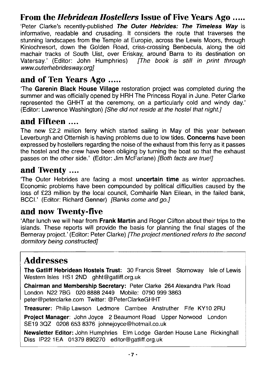## From the *Hebridean Hostellers* Issue of Five Years Ago .....

'Peter Clarke's recently-published The Outer Hebrides: The Timeless Way is informative, readable and crusading. It considers the route that traverses the stunning landscapes from the Temple at Europie, across the Lewis Moors, through Kinlochresort, down the Golden Road, criss-crossing Benbecula, along the old machair tracks of South Uist, over Eriskay, around Barra to its destination on Vatersay.' (Editor: John Humphries) [The book is still in print through www.outerhebridesway.org]

## and of Ten Years Ago .....

The Garenin Black House Village restoration project was completed during the summer and was officially opened by HRH The Princess Royal in June. Peter Clarke represented the GHHT at the ceremony, on a particularly cold and windy day.' (Editor: Lawrence Washington) [She did not reside at the hostel that night.]

#### and Fifteen ....

The new £2.2 million ferry which started sailing in May of this year between Leverburgh and Otternish is having problems due to low tides. **Concerns** have been expressed by hostellers regarding the noise of the exhaust from this ferry as it passes the hostel and the crew have been obliging by turning the boat so that the exhaust passes on the other side.' (Editor: Jim McFarlane) (Both facts are true!)

## and Twenty ....

The Outer Hebrides are facing a most **uncertain time** as winter approaches. Economic problems have been compounded by political difficulties caused by the loss of £23 million by the local council, Comhairle Nan Eilean, in the failed bank, BCCI.' (Editor: Richard Genner) [Banks come and go.]

## and now Twenty-five

'After lunch we will hear from Frank Martin and Roger Clifton about their trips to the islands. These reports will provide the basis for planning the final stages of the Berneray project.' (Editor: Peter Clarke) [The project mentioned refers to the second dormitory being constructed]

# **Addresses**

The Gatliff Hebridean Hostels Trust: 30 Francis Street Stornoway Isle of Lewis Western Isles HS1 2ND ghht@gatliff.org.uk

Chairman and Membership Secretary: Peter Clarke 264 Alexandra Park Road London N22 7BG 020 8888 2449 Mobile: 0790 999 3863 peter@peterclarke.com Twitter: @PeterClarkeGHHT

Treasurer: Philip Lawson Ledmore Carnbee Anstruther Fife KY10 2RU

Project Manager: John Joyce 2 Beaumont Road Upper Norwood London SE19 3QZ 0208 653 8376 johnejoyce@hotmail.co.uk

John Humphries Elm Lodge Garden House Lane Rickinghall Diss IP22 1EA 01379 890270 editor@gatliff.org.uk